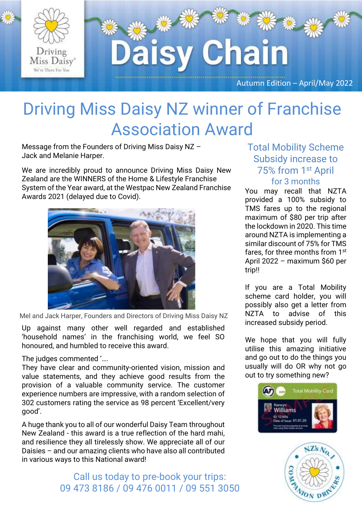

#### Driving Miss Daisy NZ winner of Franchise Association Award

Message from the Founders of Driving Miss Daisy NZ – Jack and Melanie Harper.

We are incredibly proud to announce Driving Miss Daisy New Zealand are the WINNERS of the Home & Lifestyle Franchise System of the Year award, at the Westpac New Zealand Franchise Awards 2021 (delayed due to Covid).



Mel and Jack Harper, Founders and Directors of Driving Miss Daisy NZ

Up against many other well regarded and established 'household names' in the franchising world, we feel SO honoured, and humbled to receive this award.

The judges commented '….

They have clear and community-oriented vision, mission and value statements, and they achieve good results from the provision of a valuable community service. The customer experience numbers are impressive, with a random selection of 302 customers rating the service as 98 percent 'Excellent/very good'.

A huge thank you to all of our wonderful Daisy Team throughout New Zealand - this award is a true reflection of the hard mahi, and resilience they all tirelessly show. We appreciate all of our Daisies – and our amazing clients who have also all contributed in various ways to this National award!

> Call us today to pre-book your trips: 09 473 8186 / 09 476 0011 / 09 551 3050

#### Total Mobility Scheme Subsidy increase to 75% from 1st April for 3 months

You may recall that NZTA provided a 100% subsidy to TMS fares up to the regional maximum of \$80 per trip after the lockdown in 2020. This time around NZTA is implementing a similar discount of 75% for TMS fares, for three months from 1st April 2022 – maximum \$60 per trip!!

If you are a Total Mobility scheme card holder, you will possibly also get a letter from NZTA to advise of this increased subsidy period.

We hope that you will fully utilise this amazing initiative and go out to do the things you usually will do OR why not go out to try something new?